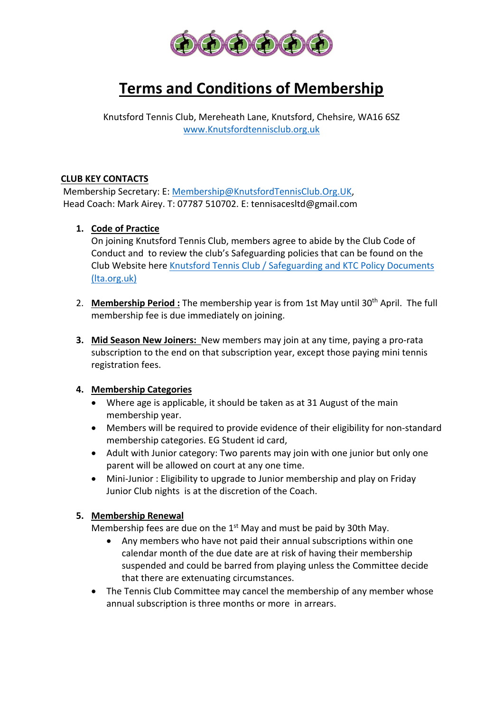

# **Terms and Conditions of Membership**

Knutsford Tennis Club, Mereheath Lane, Knutsford, Chehsire, WA16 6SZ www.Knutsfordtennisclub.org.uk

## **CLUB KEY CONTACTS**

Membership Secretary: E: Membership@KnutsfordTennisClub.Org.UK, Head Coach: Mark Airey. T: 07787 510702. E: tennisacesltd@gmail.com

## **1. Code of Practice**

On joining Knutsford Tennis Club, members agree to abide by the Club Code of Conduct and to review the club's Safeguarding policies that can be found on the Club Website here Knutsford Tennis Club / Safeguarding and KTC Policy Documents (lta.org.uk)

- 2. **Membership Period :** The membership year is from 1st May until 30<sup>th</sup> April. The full membership fee is due immediately on joining.
- **3. Mid Season New Joiners:** New members may join at any time, paying a pro-rata subscription to the end on that subscription year, except those paying mini tennis registration fees.

## **4. Membership Categories**

- Where age is applicable, it should be taken as at 31 August of the main membership year.
- Members will be required to provide evidence of their eligibility for non-standard membership categories. EG Student id card,
- Adult with Junior category: Two parents may join with one junior but only one parent will be allowed on court at any one time.
- Mini-Junior : Eligibility to upgrade to Junior membership and play on Friday Junior Club nights is at the discretion of the Coach.

## **5. Membership Renewal**

Membership fees are due on the  $1<sup>st</sup>$  May and must be paid by 30th May.

- Any members who have not paid their annual subscriptions within one calendar month of the due date are at risk of having their membership suspended and could be barred from playing unless the Committee decide that there are extenuating circumstances.
- The Tennis Club Committee may cancel the membership of any member whose annual subscription is three months or more in arrears.